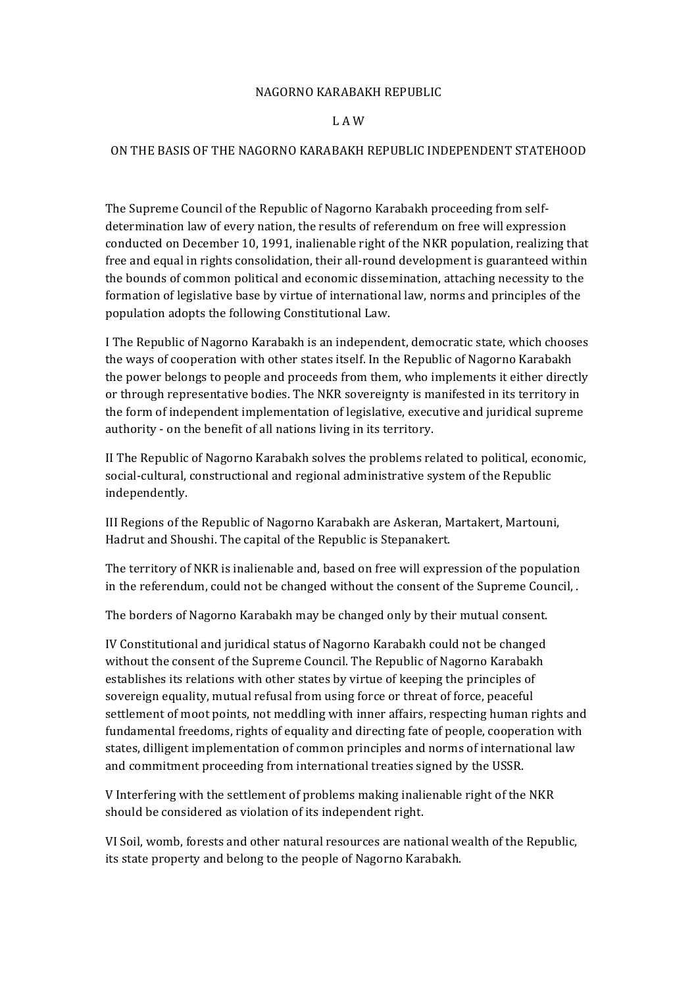## NAGORNO KARABAKH REPUBLIC

## L A W

## ON THE BASIS OF THE NAGORNO KARABAKH REPUBLIC INDEPENDENT STATEHOOD

The Supreme Council of the Republic of Nagorno Karabakh proceeding from selfdetermination law of every nation, the results of referendum on free will expression conducted on December 10, 1991, inalienable right of the NKR population, realizing that free and equal in rights consolidation, their all-round development is guaranteed within the bounds of common political and economic dissemination, attaching necessity to the formation of legislative base by virtue of international law, norms and principles of the population adopts the following Constitutional Law.

I The Republic of Nagorno Karabakh is an independent, democratic state, which chooses the ways of cooperation with other states itself. In the Republic of Nagorno Karabakh the power belongs to people and proceeds from them, who implements it either directly or through representative bodies. The NKR sovereignty is manifested in its territory in the form of independent implementation of legislative, executive and juridical supreme authority - on the benefit of all nations living in its territory.

II The Republic of Nagorno Karabakh solves the problems related to political, economic, social-cultural, constructional and regional administrative system of the Republic independently.

III Regions of the Republic of Nagorno Karabakh are Askeran, Martakert, Martouni, Hadrut and Shoushi. The capital of the Republic is Stepanakert.

The territory of NKR is inalienable and, based on free will expression of the population in the referendum, could not be changed without the consent of the Supreme Council, .

The borders of Nagorno Karabakh may be changed only by their mutual consent.

IV Constitutional and juridical status of Nagorno Karabakh could not be changed without the consent of the Supreme Council. The Republic of Nagorno Karabakh establishes its relations with other states by virtue of keeping the principles of sovereign equality, mutual refusal from using force or threat of force, peaceful settlement of moot points, not meddling with inner affairs, respecting human rights and fundamental freedoms, rights of equality and directing fate of people, cooperation with states, dilligent implementation of common principles and norms of international law and commitment proceeding from international treaties signed by the USSR.

V Interfering with the settlement of problems making inalienable right of the NKR should be considered as violation of its independent right.

VI Soil, womb, forests and other natural resources are national wealth of the Republic, its state property and belong to the people of Nagorno Karabakh.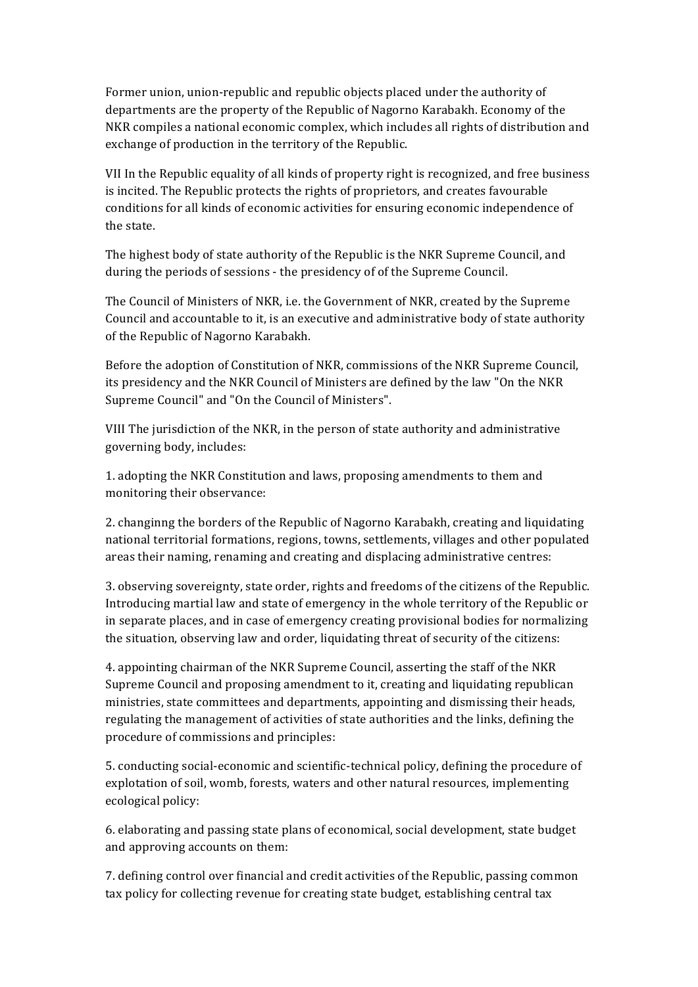Former union, union-republic and republic objects placed under the authority of departments are the property of the Republic of Nagorno Karabakh. Economy of the NKR compiles a national economic complex, which includes all rights of distribution and exchange of production in the territory of the Republic.

VII In the Republic equality of all kinds of property right is recognized, and free business is incited. The Republic protects the rights of proprietors, and creates favourable conditions for all kinds of economic activities for ensuring economic independence of the state.

The highest body of state authority of the Republic is the NKR Supreme Council, and during the periods of sessions - the presidency of of the Supreme Council.

The Council of Ministers of NKR, i.e. the Government of NKR, created by the Supreme Council and accountable to it, is an executive and administrative body of state authority of the Republic of Nagorno Karabakh.

Before the adoption of Constitution of NKR, commissions of the NKR Supreme Council, its presidency and the NKR Council of Ministers are defined by the law "On the NKR Supreme Council" and "On the Council of Ministers".

VIII The jurisdiction of the NKR, in the person of state authority and administrative governing body, includes:

1. adopting the NKR Constitution and laws, proposing amendments to them and monitoring their observance:

2. changinng the borders of the Republic of Nagorno Karabakh, creating and liquidating national territorial formations, regions, towns, settlements, villages and other populated areas their naming, renaming and creating and displacing administrative centres:

3. observing sovereignty, state order, rights and freedoms of the citizens of the Republic. Introducing martial law and state of emergency in the whole territory of the Republic or in separate places, and in case of emergency creating provisional bodies for normalizing the situation, observing law and order, liquidating threat of security of the citizens:

4. appointing chairman of the NKR Supreme Council, asserting the staff of the NKR Supreme Council and proposing amendment to it, creating and liquidating republican ministries, state committees and departments, appointing and dismissing their heads, regulating the management of activities of state authorities and the links, defining the procedure of commissions and principles:

5. conducting social-economic and scientific-technical policy, defining the procedure of explotation of soil, womb, forests, waters and other natural resources, implementing ecological policy:

6. elaborating and passing state plans of economical, social development, state budget and approving accounts on them:

7. defining control over financial and credit activities of the Republic, passing common tax policy for collecting revenue for creating state budget, establishing central tax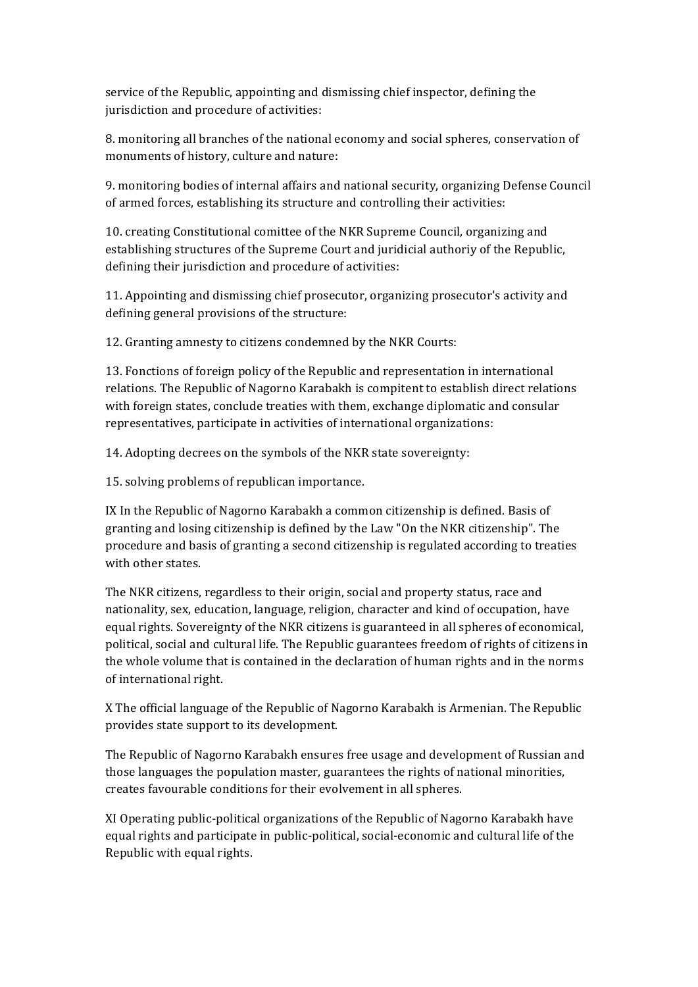service of the Republic, appointing and dismissing chief inspector, defining the jurisdiction and procedure of activities:

8. monitoring all branches of the national economy and social spheres, conservation of monuments of history, culture and nature:

9. monitoring bodies of internal affairs and national security, organizing Defense Council of armed forces, establishing its structure and controlling their activities:

10. creating Constitutional comittee of the NKR Supreme Council, organizing and establishing structures of the Supreme Court and juridicial authoriy of the Republic, defining their jurisdiction and procedure of activities:

11. Appointing and dismissing chief prosecutor, organizing prosecutor's activity and defining general provisions of the structure:

12. Granting amnesty to citizens condemned by the NKR Courts:

13. Fonctions of foreign policy of the Republic and representation in international relations. The Republic of Nagorno Karabakh is compitent to establish direct relations with foreign states, conclude treaties with them, exchange diplomatic and consular representatives, participate in activities of international organizations:

14. Adopting decrees on the symbols of the NKR state sovereignty:

15. solving problems of republican importance.

IX In the Republic of Nagorno Karabakh a common citizenship is defined. Basis of granting and losing citizenship is defined by the Law "On the NKR citizenship". The procedure and basis of granting a second citizenship is regulated according to treaties with other states.

The NKR citizens, regardless to their origin, social and property status, race and nationality, sex, education, language, religion, character and kind of occupation, have equal rights. Sovereignty of the NKR citizens is guaranteed in all spheres of economical, political, social and cultural life. The Republic guarantees freedom of rights of citizens in the whole volume that is contained in the declaration of human rights and in the norms of international right.

X The official language of the Republic of Nagorno Karabakh is Armenian. The Republic provides state support to its development.

The Republic of Nagorno Karabakh ensures free usage and development of Russian and those languages the population master, guarantees the rights of national minorities, creates favourable conditions for their evolvement in all spheres.

XI Operating public-political organizations of the Republic of Nagorno Karabakh have equal rights and participate in public-political, social-economic and cultural life of the Republic with equal rights.